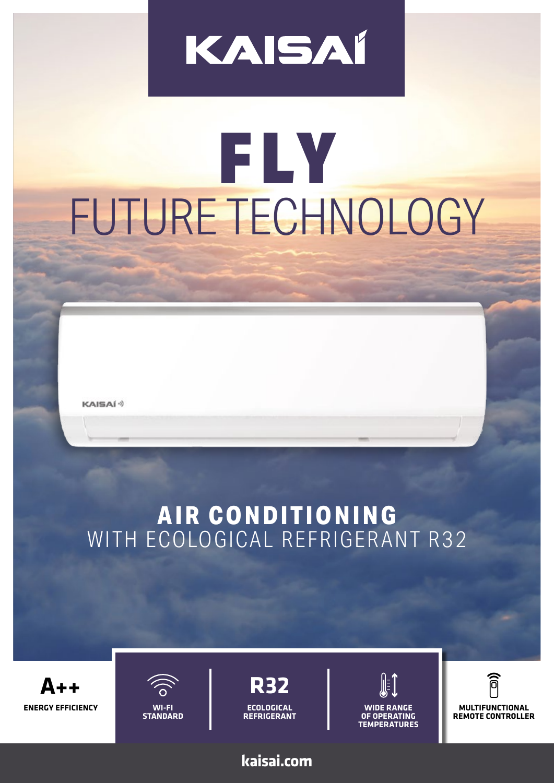## KAISAÍ

# FLY FUTURE TECHNOLOGY

**KAISAÍ**<sup>()</sup>

### **AIR CONDITIONING** WITH ECOLOGICAL REFRIGERANT R32

**ENERGY EFFICIENCY A++**



**STANDARD**

**ECOLOGICAL REFRIGERANT R32**

**kaisai.com**



**WIDE RANGE OF OPERATING TEMPERATURES**

同 **MULTIFUNCTIONAL REMOTE CONTROLLER**